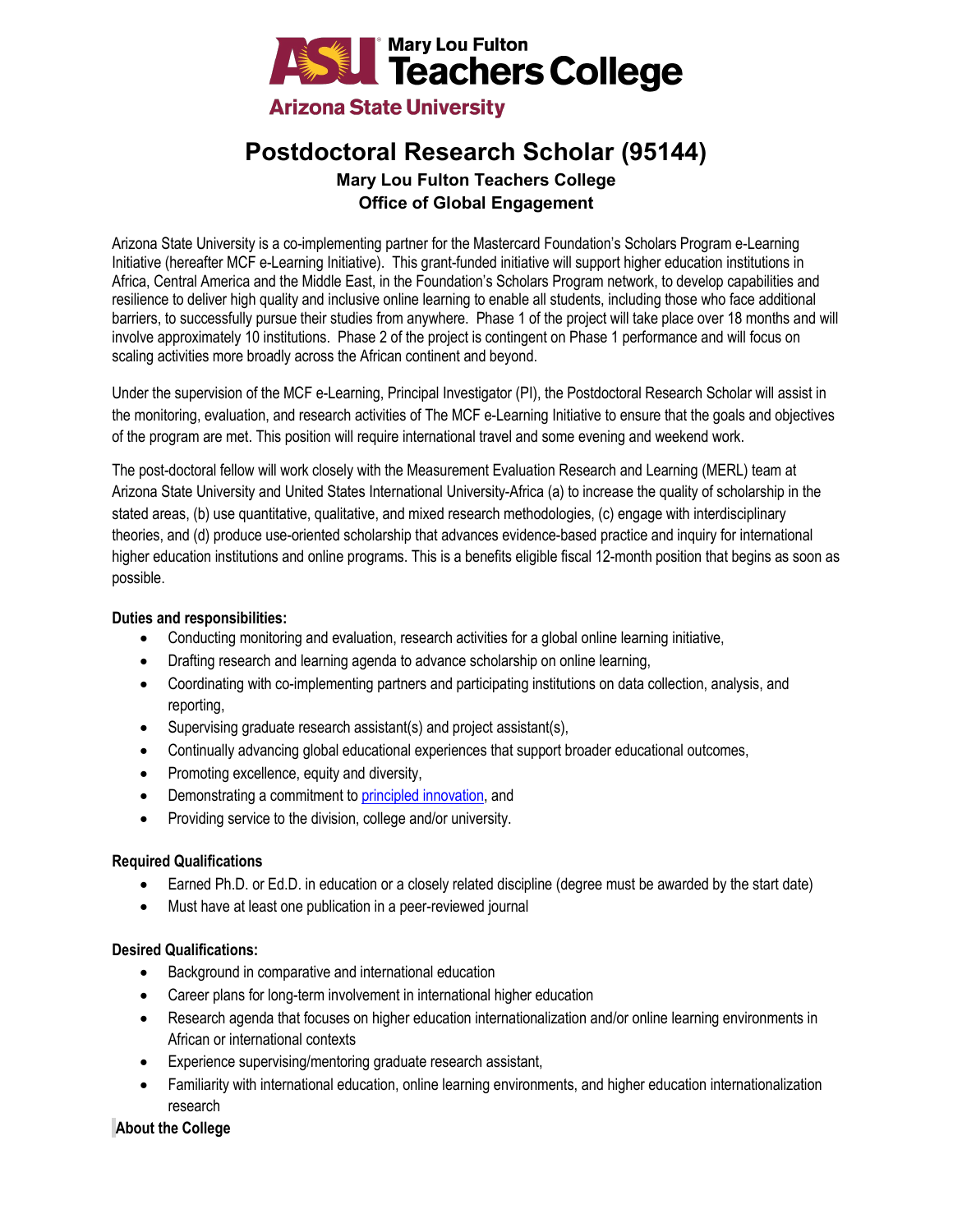

# **Postdoctoral Research Scholar (95144)**

## **Mary Lou Fulton Teachers College Office of Global Engagement**

Arizona State University is a co-implementing partner for the Mastercard Foundation's Scholars Program e-Learning Initiative (hereafter MCF e-Learning Initiative). This grant-funded initiative will support higher education institutions in Africa, Central America and the Middle East, in the Foundation's Scholars Program network, to develop capabilities and resilience to deliver high quality and inclusive online learning to enable all students, including those who face additional barriers, to successfully pursue their studies from anywhere. Phase 1 of the project will take place over 18 months and will involve approximately 10 institutions. Phase 2 of the project is contingent on Phase 1 performance and will focus on scaling activities more broadly across the African continent and beyond.

Under the supervision of the MCF e-Learning, Principal Investigator (PI), the Postdoctoral Research Scholar will assist in the monitoring, evaluation, and research activities of The MCF e-Learning Initiative to ensure that the goals and objectives of the program are met. This position will require international travel and some evening and weekend work.

The post-doctoral fellow will work closely with the Measurement Evaluation Research and Learning (MERL) team at Arizona State University and United States International University-Africa (a) to increase the quality of scholarship in the stated areas, (b) use quantitative, qualitative, and mixed research methodologies, (c) engage with interdisciplinary theories, and (d) produce use-oriented scholarship that advances evidence-based practice and inquiry for international higher education institutions and online programs. This is a benefits eligible fiscal 12-month position that begins as soon as possible.

### **Duties and responsibilities:**

- Conducting monitoring and evaluation, research activities for a global online learning initiative,
- Drafting research and learning agenda to advance scholarship on online learning,
- Coordinating with co-implementing partners and participating institutions on data collection, analysis, and reporting,
- Supervising graduate research assistant(s) and project assistant(s),
- Continually advancing global educational experiences that support broader educational outcomes,
- Promoting excellence, equity and diversity,
- Demonstrating a commitment t[o principled innovation,](https://sites.google.com/asu.edu/principled-innovation/home?authuser=0) and
- Providing service to the division, college and/or university.

### **Required Qualifications**

- Earned Ph.D. or Ed.D. in education or a closely related discipline (degree must be awarded by the start date)
- Must have at least one publication in a peer-reviewed journal

### **Desired Qualifications:**

- Background in comparative and international education
- Career plans for long-term involvement in international higher education
- Research agenda that focuses on higher education internationalization and/or online learning environments in African or international contexts
- Experience supervising/mentoring graduate research assistant,
- Familiarity with international education, online learning environments, and higher education internationalization research

## **About the College**